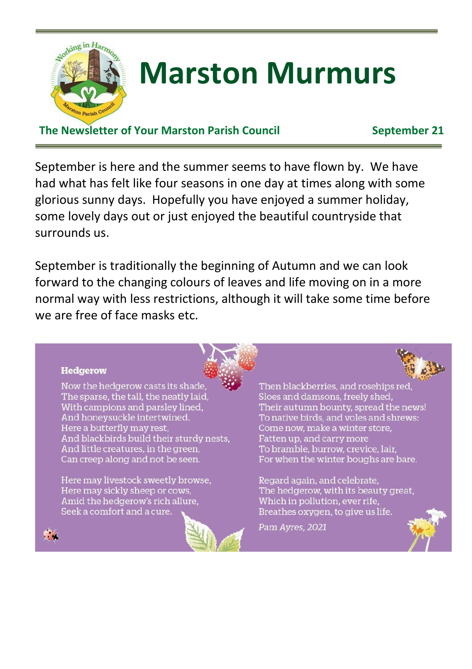

# **Marston Murmurs**

#### **The Newsletter of Your Marston Parish Council September 21**

September is here and the summer seems to have flown by. We have had what has felt like four seasons in one day at times along with some glorious sunny days. Hopefully you have enjoyed a summer holiday, some lovely days out or just enjoyed the beautiful countryside that surrounds us.

September is traditionally the beginning of Autumn and we can look forward to the changing colours of leaves and life moving on in a more normal way with less restrictions, although it will take some time before we are free of face masks etc.



#### **Hedgerow**

**COL** 

Now the hedgerow casts its shade The sparse, the tall, the neatly laid, With campions and parsley lined, And honeysuckle intertwined. Here a butterfly may rest. And blackbirds build their sturdy nests. And little creatures, in the green. Can creep along and not be seen.

Here may livestock sweetly browse, Here may sickly sheep or cows, Amid the hedgerow's rich allure, Seek a comfort and a cure.

Then blackberries, and rosehips red Sloes and damsons, freely shed, Their autumn bounty, spread the news! To native birds, and voles and shrews: Come now, make a winter store, Fatten up, and carry more To bramble, burrow, crevice, lair. For when the winter boughs are bare.

Regard again, and celebrate, The hedgerow, with its beauty great, Which in pollution, ever rife, Breathes oxygen, to give us life.

Pam Avres, 2021

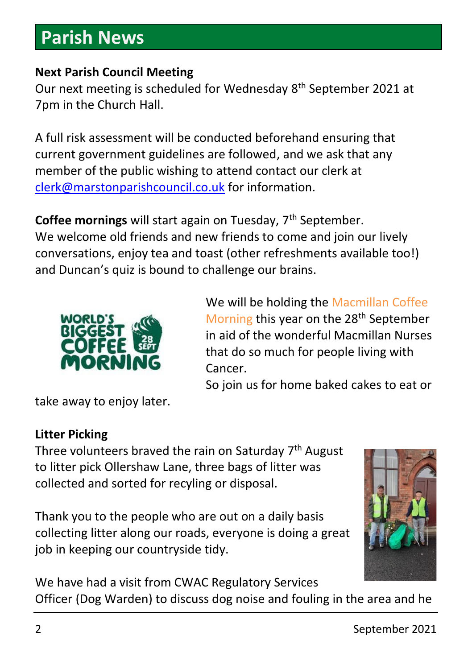### **Parish News**

#### **Next Parish Council Meeting**

Our next meeting is scheduled for Wednesday 8<sup>th</sup> September 2021 at 7pm in the Church Hall.

A full risk assessment will be conducted beforehand ensuring that current government guidelines are followed, and we ask that any member of the public wishing to attend contact our clerk at [clerk@marstonparishcouncil.co.uk](mailto:clerk@marstonparishcouncil.co.uk) for information.

**Coffee mornings** will start again on Tuesday, 7<sup>th</sup> September. We welcome old friends and new friends to come and join our lively conversations, enjoy tea and toast (other refreshments available too!) and Duncan's quiz is bound to challenge our brains.



We will be holding the Macmillan Coffee Morning this year on the 28<sup>th</sup> September in aid of the wonderful Macmillan Nurses that do so much for people living with Cancer.

So join us for home baked cakes to eat or

take away to enjoy later.

#### **Litter Picking**

Three volunteers braved the rain on Saturday 7<sup>th</sup> August to litter pick Ollershaw Lane, three bags of litter was collected and sorted for recyling or disposal.

Thank you to the people who are out on a daily basis collecting litter along our roads, everyone is doing a great job in keeping our countryside tidy.



We have had a visit from CWAC Regulatory Services Officer (Dog Warden) to discuss dog noise and fouling in the area and he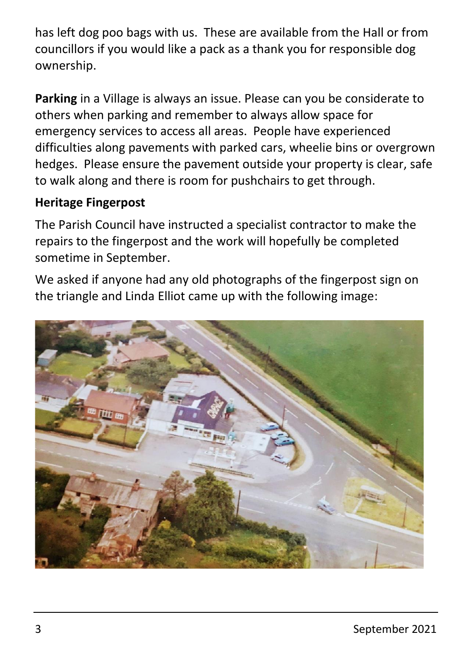has left dog poo bags with us. These are available from the Hall or from councillors if you would like a pack as a thank you for responsible dog ownership.

**Parking** in a Village is always an issue. Please can you be considerate to others when parking and remember to always allow space for emergency services to access all areas. People have experienced difficulties along pavements with parked cars, wheelie bins or overgrown hedges. Please ensure the pavement outside your property is clear, safe to walk along and there is room for pushchairs to get through.

#### **Heritage Fingerpost**

The Parish Council have instructed a specialist contractor to make the repairs to the fingerpost and the work will hopefully be completed sometime in September.

We asked if anyone had any old photographs of the fingerpost sign on the triangle and Linda Elliot came up with the following image:

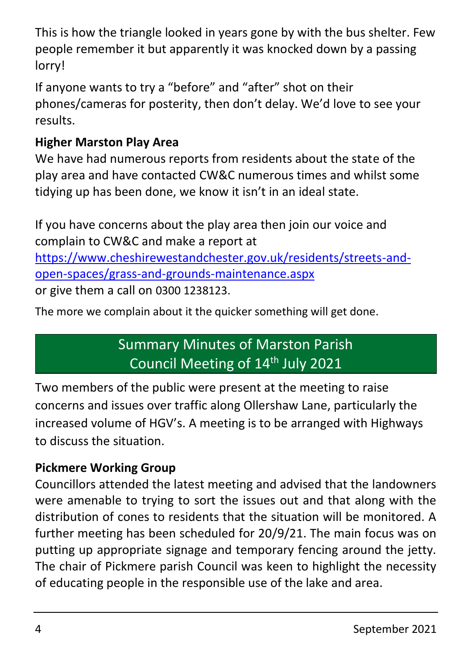This is how the triangle looked in years gone by with the bus shelter. Few people remember it but apparently it was knocked down by a passing lorry!

If anyone wants to try a "before" and "after" shot on their phones/cameras for posterity, then don't delay. We'd love to see your results.

#### **Higher Marston Play Area**

We have had numerous reports from residents about the state of the play area and have contacted CW&C numerous times and whilst some tidying up has been done, we know it isn't in an ideal state.

If you have concerns about the play area then join our voice and complain to CW&C and make a report at [https://www.cheshirewestandchester.gov.uk/residents/streets-and](https://www.cheshirewestandchester.gov.uk/residents/streets-and-open-spaces/grass-and-grounds-maintenance.aspx)[open-spaces/grass-and-grounds-maintenance.aspx](https://www.cheshirewestandchester.gov.uk/residents/streets-and-open-spaces/grass-and-grounds-maintenance.aspx) or give them a call on 0300 1238123.

The more we complain about it the quicker something will get done.

### Summary Minutes of Marston Parish Council Meeting of 14<sup>th</sup> July 2021

Two members of the public were present at the meeting to raise concerns and issues over traffic along Ollershaw Lane, particularly the increased volume of HGV's. A meeting is to be arranged with Highways to discuss the situation.

#### **Pickmere Working Group**

Councillors attended the latest meeting and advised that the landowners were amenable to trying to sort the issues out and that along with the distribution of cones to residents that the situation will be monitored. A further meeting has been scheduled for 20/9/21. The main focus was on putting up appropriate signage and temporary fencing around the jetty. The chair of Pickmere parish Council was keen to highlight the necessity of educating people in the responsible use of the lake and area.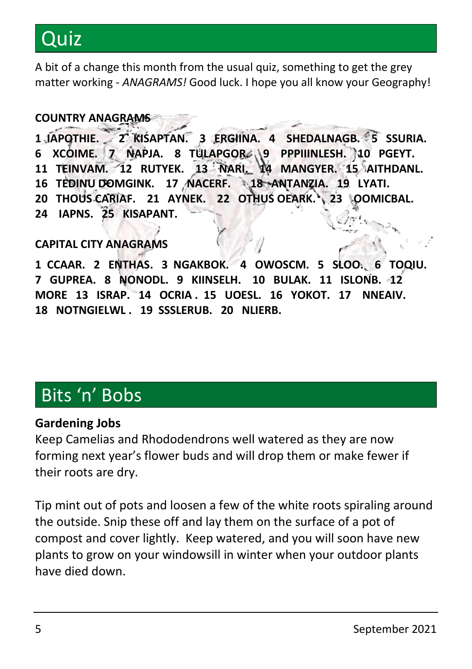## Quiz

A bit of a change this month from the usual quiz, something to get the grey matter working - *ANAGRAMS!* Good luck. I hope you all know your Geography!

#### **COUNTRY ANAGRAMS**

**1 IAPOTHIE. 2 KISAPTAN. 3 ERGIINA. 4 SHEDALNAGB. 5 SSURIA. 6 XCOIME. 7 NAPJA. 8 TULAPGOR. 9 PPPIIINLESH. 10 PGEYT. 11 TEINVAM. 12 RUTYEK. 13 NARI. 14 MANGYER. 15 AITHDANL. 16 TEDINU DOMGINK. 17 NACERF. 18 ANTANZIA. 19 LYATI. 20 THOUS CARIAF. 21 AYNEK. 22 OTHUS OEARK. 23 OOMICBAL. 24 IAPNS. 25 KISAPANT.**

#### **CAPITAL CITY ANAGRAMS**

**1 CCAAR. 2 ENTHAS. 3 NGAKBOK. 4 OWOSCM. 5 SLOO. 6 TOQIU. 7 GUPREA. 8 NONODL. 9 KIINSELH. 10 BULAK. 11 ISLONB. 12 MORE 13 ISRAP. 14 OCRIA . 15 UOESL. 16 YOKOT. 17 NNEAIV. 18 NOTNGIELWL . 19 SSSLERUB. 20 NLIERB.**

### Bits 'n' Bobs

#### **Gardening Jobs**

Keep Camelias and Rhododendrons well watered as they are now forming next year's flower buds and will drop them or make fewer if their roots are dry.

Tip mint out of pots and loosen a few of the white roots spiraling around the outside. Snip these off and lay them on the surface of a pot of compost and cover lightly. Keep watered, and you will soon have new plants to grow on your windowsill in winter when your outdoor plants have died down.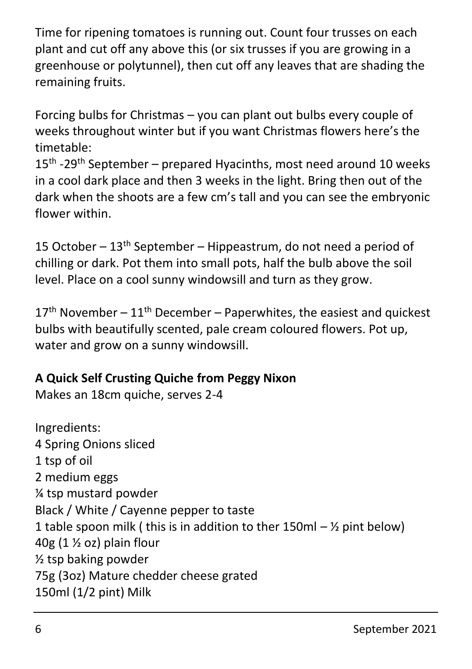Time for ripening tomatoes is running out. Count four trusses on each plant and cut off any above this (or six trusses if you are growing in a greenhouse or polytunnel), then cut off any leaves that are shading the remaining fruits.

Forcing bulbs for Christmas – you can plant out bulbs every couple of weeks throughout winter but if you want Christmas flowers here's the timetable:

15<sup>th</sup> -29<sup>th</sup> September – prepared Hyacinths, most need around 10 weeks in a cool dark place and then 3 weeks in the light. Bring then out of the dark when the shoots are a few cm's tall and you can see the embryonic flower within.

15 October –  $13<sup>th</sup>$  September – Hippeastrum, do not need a period of chilling or dark. Pot them into small pots, half the bulb above the soil level. Place on a cool sunny windowsill and turn as they grow.

 $17<sup>th</sup>$  November –  $11<sup>th</sup>$  December – Paperwhites, the easiest and quickest bulbs with beautifully scented, pale cream coloured flowers. Pot up, water and grow on a sunny windowsill.

#### **A Quick Self Crusting Quiche from Peggy Nixon**

Makes an 18cm quiche, serves 2-4

Ingredients: 4 Spring Onions sliced 1 tsp of oil 2 medium eggs ¼ tsp mustard powder Black / White / Cayenne pepper to taste 1 table spoon milk ( this is in addition to ther  $150$ ml –  $\frac{1}{2}$  pint below)  $40g$  (1  $\frac{1}{2}$  oz) plain flour ½ tsp baking powder 75g (3oz) Mature chedder cheese grated 150ml (1/2 pint) Milk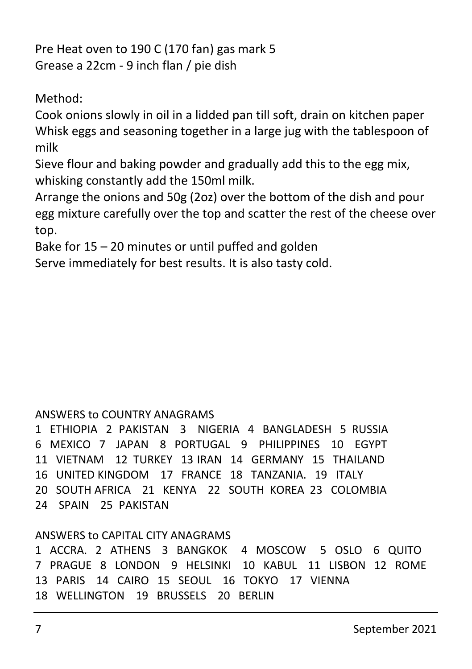Pre Heat oven to 190 C (170 fan) gas mark 5 Grease a 22cm - 9 inch flan / pie dish

Method:

Cook onions slowly in oil in a lidded pan till soft, drain on kitchen paper Whisk eggs and seasoning together in a large jug with the tablespoon of milk

Sieve flour and baking powder and gradually add this to the egg mix, whisking constantly add the 150ml milk.

Arrange the onions and 50g (2oz) over the bottom of the dish and pour egg mixture carefully over the top and scatter the rest of the cheese over top.

Bake for  $15 - 20$  minutes or until puffed and golden

Serve immediately for best results. It is also tasty cold.

#### ANSWERS to COUNTRY ANAGRAMS

1 ETHIOPIA 2 PAKISTAN 3 NIGERIA 4 BANGLADESH 5 RUSSIA 6 MEXICO 7 JAPAN 8 PORTUGAL 9 PHILIPPINES 10 EGYPT 11 VIETNAM 12 TURKEY 13 IRAN 14 GERMANY 15 THAILAND 16 UNITED KINGDOM 17 FRANCE 18 TANZANIA. 19 ITALY 20 SOUTH AFRICA 21 KENYA 22 SOUTH KOREA 23 COLOMBIA 24 SPAIN 25 PAKISTAN

#### ANSWERS to CAPITAL CITY ANAGRAMS

1 ACCRA. 2 ATHENS 3 BANGKOK 4 MOSCOW 5 OSLO 6 QUITO 7 PRAGUE 8 LONDON 9 HELSINKI 10 KABUL 11 LISBON 12 ROME 13 PARIS 14 CAIRO 15 SEOUL 16 TOKYO 17 VIENNA 18 WELLINGTON 19 BRUSSELS 20 BERLIN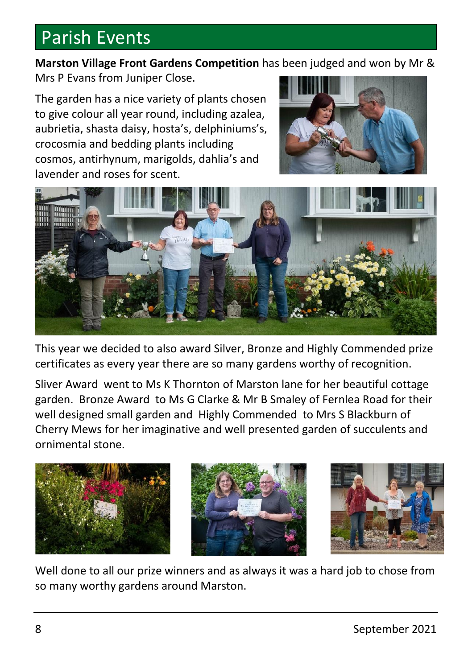### Parish Events

**Marston Village Front Gardens Competition** has been judged and won by Mr & Mrs P Evans from Juniper Close.

The garden has a nice variety of plants chosen to give colour all year round, including azalea, aubrietia, shasta daisy, hosta's, delphiniums's, crocosmia and bedding plants including cosmos, antirhynum, marigolds, dahlia's and lavender and roses for scent.





This year we decided to also award Silver, Bronze and Highly Commended prize certificates as every year there are so many gardens worthy of recognition.

Sliver Award went to Ms K Thornton of Marston lane for her beautiful cottage garden. Bronze Award to Ms G Clarke & Mr B Smaley of Fernlea Road for their well designed small garden and Highly Commended to Mrs S Blackburn of Cherry Mews for her imaginative and well presented garden of succulents and ornimental stone.



Well done to all our prize winners and as always it was a hard job to chose from so many worthy gardens around Marston.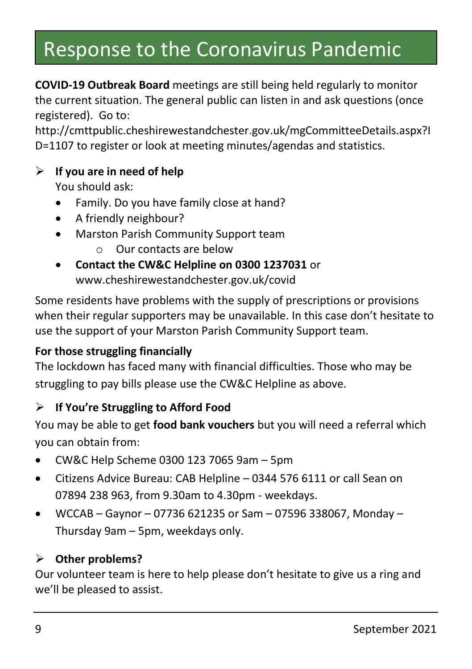### Response to the Coronavirus Pandemic

**COVID-19 Outbreak Board** meetings are still being held regularly to monitor the current situation. The general public can listen in and ask questions (once registered). Go to:

http://cmttpublic.cheshirewestandchester.gov.uk/mgCommitteeDetails.aspx?I D=1107 to register or look at meeting minutes/agendas and statistics.

#### ➢ **If you are in need of help**

You should ask:

- Family. Do you have family close at hand?
- A friendly neighbour?
- Marston Parish Community Support team
	- o Our contacts are below
- **Contact the CW&C Helpline on 0300 1237031** or www.cheshirewestandchester.gov.uk/covid

Some residents have problems with the supply of prescriptions or provisions when their regular supporters may be unavailable. In this case don't hesitate to use the support of your Marston Parish Community Support team.

#### **For those struggling financially**

The lockdown has faced many with financial difficulties. Those who may be struggling to pay bills please use the CW&C Helpline as above.

#### ➢ **If You're Struggling to Afford Food**

You may be able to get **food bank vouchers** but you will need a referral which you can obtain from:

- CW&C Help Scheme 0300 123 7065 9am 5pm
- Citizens Advice Bureau: CAB Helpline 0344 576 6111 or call Sean on 07894 238 963, from 9.30am to 4.30pm - weekdays.
- WCCAB Gaynor 07736 621235 or Sam 07596 338067, Monday Thursday 9am – 5pm, weekdays only.

#### ➢ **Other problems?**

Our volunteer team is here to help please don't hesitate to give us a ring and we'll be pleased to assist.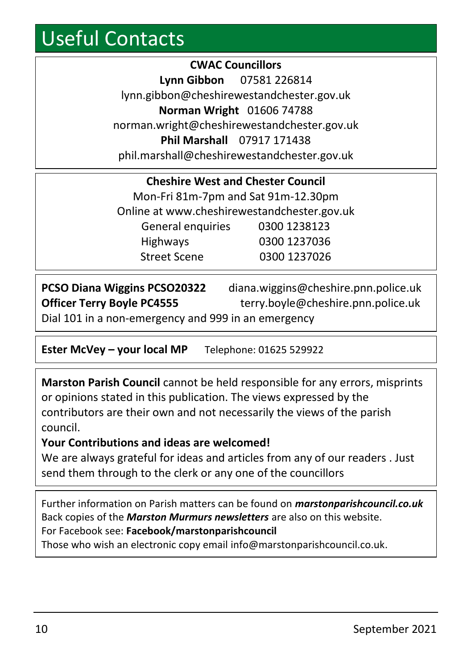### Useful Contacts

**CWAC Councillors Lynn Gibbon** 07581 226814 lynn.gibbon@cheshirewestandchester.gov.uk **Norman Wright** 01606 74788 norman.wright@cheshirewestandchester.gov.uk **Phil Marshall** 07917 171438 phil.marshall@cheshirewestandchester.gov.uk

| <b>Cheshire West and Chester Council</b>    |              |  |
|---------------------------------------------|--------------|--|
| Mon-Fri 81m-7pm and Sat 91m-12.30pm         |              |  |
| Online at www.cheshirewestandchester.gov.uk |              |  |
| General enquiries                           | 0300 1238123 |  |
| <b>Highways</b>                             | 0300 1237036 |  |
| <b>Street Scene</b>                         | 0300 1237026 |  |

| <b>PCSO Diana Wiggins PCSO20322</b>                 | diana.wiggins@cheshire.pnn.police.uk |
|-----------------------------------------------------|--------------------------------------|
| <b>Officer Terry Boyle PC4555</b>                   | terry.boyle@cheshire.pnn.police.uk   |
| Dial 101 in a non-emergency and 999 in an emergency |                                      |

**Ester McVey – your local MP** Telephone: 01625 529922

**Marston Parish Council** cannot be held responsible for any errors, misprints or opinions stated in this publication. The views expressed by the contributors are their own and not necessarily the views of the parish council.

#### **Your Contributions and ideas are welcomed!**

We are always grateful for ideas and articles from any of our readers . Just send them through to the clerk or any one of the councillors

Further information on Parish matters can be found on *marstonparishcouncil.co.uk* Back copies of the *Marston Murmurs newsletters* are also on this website. For Facebook see: **Facebook/marstonparishcouncil**

Those who wish an electronic copy email info@marstonparishcouncil.co.uk.